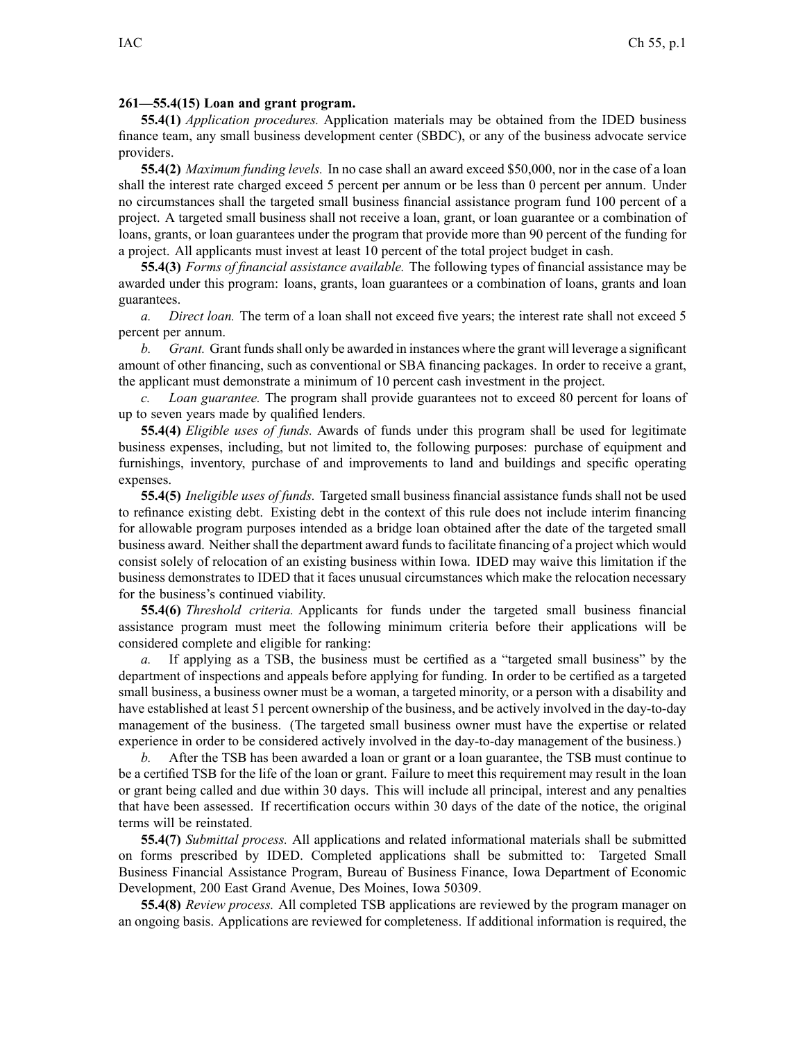## **261—55.4(15) Loan and grant program.**

**55.4(1)** *Application procedures.* Application materials may be obtained from the IDED business finance team, any small business development center (SBDC), or any of the business advocate service providers.

**55.4(2)** *Maximum funding levels.* In no case shall an award exceed \$50,000, nor in the case of <sup>a</sup> loan shall the interest rate charged exceed 5 percen<sup>t</sup> per annum or be less than 0 percen<sup>t</sup> per annum. Under no circumstances shall the targeted small business financial assistance program fund 100 percen<sup>t</sup> of <sup>a</sup> project. A targeted small business shall not receive <sup>a</sup> loan, grant, or loan guarantee or <sup>a</sup> combination of loans, grants, or loan guarantees under the program that provide more than 90 percen<sup>t</sup> of the funding for <sup>a</sup> project. All applicants must invest at least 10 percen<sup>t</sup> of the total project budget in cash.

**55.4(3)** *Forms of financial assistance available.* The following types of financial assistance may be awarded under this program: loans, grants, loan guarantees or <sup>a</sup> combination of loans, grants and loan guarantees.

*a. Direct loan.* The term of <sup>a</sup> loan shall not exceed five years; the interest rate shall not exceed 5 percent per annum.

*b. Grant.* Grant fundsshall only be awarded in instances where the gran<sup>t</sup> will leverage <sup>a</sup> significant amount of other financing, such as conventional or SBA financing packages. In order to receive <sup>a</sup> grant, the applicant must demonstrate <sup>a</sup> minimum of 10 percen<sup>t</sup> cash investment in the project.

*c. Loan guarantee.* The program shall provide guarantees not to exceed 80 percen<sup>t</sup> for loans of up to seven years made by qualified lenders.

**55.4(4)** *Eligible uses of funds.* Awards of funds under this program shall be used for legitimate business expenses, including, but not limited to, the following purposes: purchase of equipment and furnishings, inventory, purchase of and improvements to land and buildings and specific operating expenses.

**55.4(5)** *Ineligible uses of funds.* Targeted small business financial assistance funds shall not be used to refinance existing debt. Existing debt in the context of this rule does not include interim financing for allowable program purposes intended as <sup>a</sup> bridge loan obtained after the date of the targeted small business award. Neither shall the department award funds to facilitate financing of a project which would consist solely of relocation of an existing business within Iowa. IDED may waive this limitation if the business demonstrates to IDED that it faces unusual circumstances which make the relocation necessary for the business's continued viability.

**55.4(6)** *Threshold criteria.* Applicants for funds under the targeted small business financial assistance program must meet the following minimum criteria before their applications will be considered complete and eligible for ranking:

*a.* If applying as <sup>a</sup> TSB, the business must be certified as <sup>a</sup> "targeted small business" by the department of inspections and appeals before applying for funding. In order to be certified as <sup>a</sup> targeted small business, <sup>a</sup> business owner must be <sup>a</sup> woman, <sup>a</sup> targeted minority, or <sup>a</sup> person with <sup>a</sup> disability and have established at least 51 percen<sup>t</sup> ownership of the business, and be actively involved in the day-to-day managemen<sup>t</sup> of the business. (The targeted small business owner must have the expertise or related experience in order to be considered actively involved in the day-to-day managemen<sup>t</sup> of the business.)

*b.* After the TSB has been awarded <sup>a</sup> loan or gran<sup>t</sup> or <sup>a</sup> loan guarantee, the TSB must continue to be <sup>a</sup> certified TSB for the life of the loan or grant. Failure to meet this requirement may result in the loan or gran<sup>t</sup> being called and due within 30 days. This will include all principal, interest and any penalties that have been assessed. If recertification occurs within 30 days of the date of the notice, the original terms will be reinstated.

**55.4(7)** *Submittal process.* All applications and related informational materials shall be submitted on forms prescribed by IDED. Completed applications shall be submitted to: Targeted Small Business Financial Assistance Program, Bureau of Business Finance, Iowa Department of Economic Development, 200 East Grand Avenue, Des Moines, Iowa 50309.

**55.4(8)** *Review process.* All completed TSB applications are reviewed by the program manager on an ongoing basis. Applications are reviewed for completeness. If additional information is required, the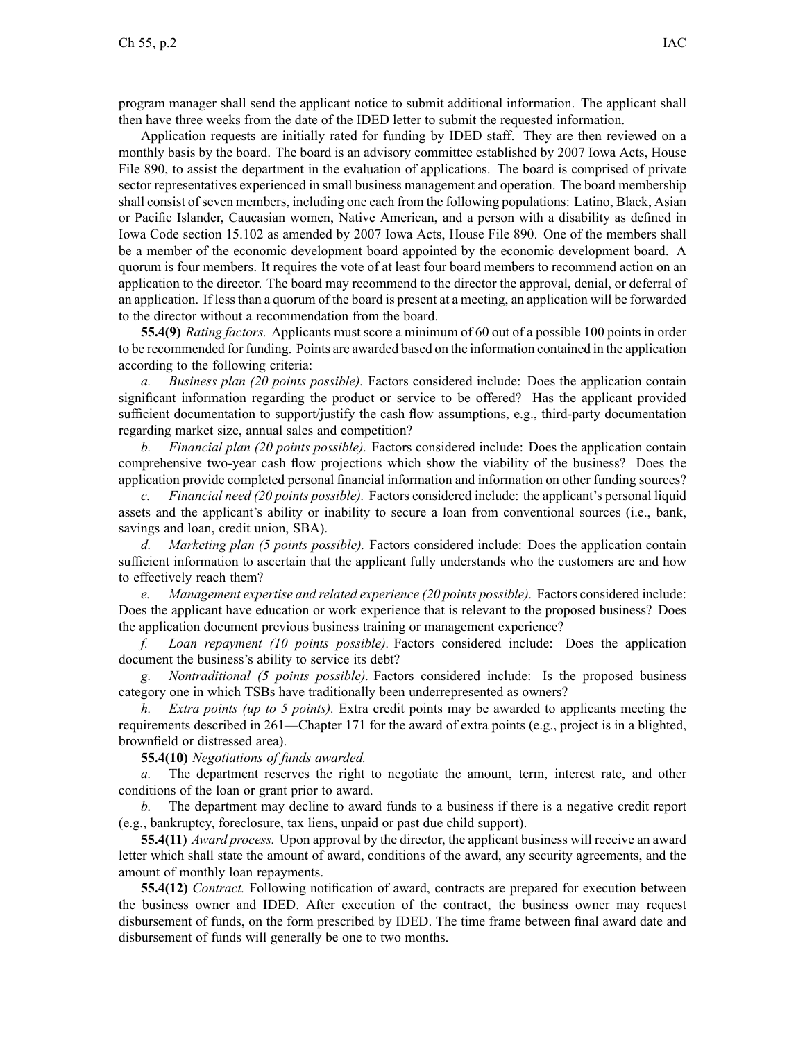program manager shall send the applicant notice to submit additional information. The applicant shall then have three weeks from the date of the IDED letter to submit the requested information.

Application requests are initially rated for funding by IDED staff. They are then reviewed on <sup>a</sup> monthly basis by the board. The board is an advisory committee established by 2007 Iowa Acts, House File 890, to assist the department in the evaluation of applications. The board is comprised of private sector representatives experienced in small business managemen<sup>t</sup> and operation. The board membership shall consist of seven members, including one each from the following populations: Latino, Black, Asian or Pacific Islander, Caucasian women, Native American, and <sup>a</sup> person with <sup>a</sup> disability as defined in Iowa Code section 15.102 as amended by 2007 Iowa Acts, House File 890. One of the members shall be <sup>a</sup> member of the economic development board appointed by the economic development board. A quorum is four members. It requires the vote of at least four board members to recommend action on an application to the director. The board may recommend to the director the approval, denial, or deferral of an application. If lessthan <sup>a</sup> quorum of the board is presen<sup>t</sup> at <sup>a</sup> meeting, an application will be forwarded to the director without <sup>a</sup> recommendation from the board.

**55.4(9)** *Rating factors.* Applicants must score <sup>a</sup> minimum of 60 out of <sup>a</sup> possible 100 points in order to be recommended for funding. Points are awarded based on the information contained in the application according to the following criteria:

*a. Business plan (20 points possible).* Factors considered include: Does the application contain significant information regarding the product or service to be offered? Has the applicant provided sufficient documentation to support/justify the cash flow assumptions, e.g., third-party documentation regarding market size, annual sales and competition?

*b. Financial plan (20 points possible).* Factors considered include: Does the application contain comprehensive two-year cash flow projections which show the viability of the business? Does the application provide completed personal financial information and information on other funding sources?

*c. Financial need (20 points possible).* Factors considered include: the applicant's personal liquid assets and the applicant's ability or inability to secure <sup>a</sup> loan from conventional sources (i.e., bank, savings and loan, credit union, SBA).

*d. Marketing plan (5 points possible).* Factors considered include: Does the application contain sufficient information to ascertain that the applicant fully understands who the customers are and how to effectively reach them?

*e. Management expertise and related experience (20 points possible).* Factors considered include: Does the applicant have education or work experience that is relevant to the proposed business? Does the application document previous business training or managemen<sup>t</sup> experience?

*f. Loan repaymen<sup>t</sup> (10 points possible).* Factors considered include: Does the application document the business's ability to service its debt?

*g. Nontraditional (5 points possible).* Factors considered include: Is the proposed business category one in which TSBs have traditionally been underrepresented as owners?

*h. Extra points (up to 5 points).* Extra credit points may be awarded to applicants meeting the requirements described in 261—Chapter 171 for the award of extra points (e.g., project is in <sup>a</sup> blighted, brownfield or distressed area).

**55.4(10)** *Negotiations of funds awarded.*

*a.* The department reserves the right to negotiate the amount, term, interest rate, and other conditions of the loan or gran<sup>t</sup> prior to award.

*b.* The department may decline to award funds to <sup>a</sup> business if there is <sup>a</sup> negative credit repor<sup>t</sup> (e.g., bankruptcy, foreclosure, tax liens, unpaid or pas<sup>t</sup> due child support).

**55.4(11)** *Award process.* Upon approval by the director, the applicant business will receive an award letter which shall state the amount of award, conditions of the award, any security agreements, and the amount of monthly loan repayments.

**55.4(12)** *Contract.* Following notification of award, contracts are prepared for execution between the business owner and IDED. After execution of the contract, the business owner may reques<sup>t</sup> disbursement of funds, on the form prescribed by IDED. The time frame between final award date and disbursement of funds will generally be one to two months.